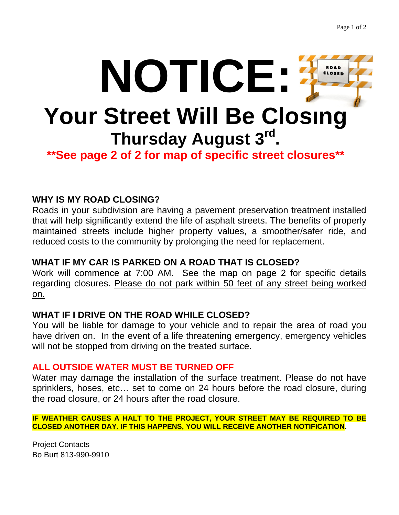

# **WHY IS MY ROAD CLOSING?**

Roads in your subdivision are having a pavement preservation treatment installed that will help significantly extend the life of asphalt streets. The benefits of properly maintained streets include higher property values, a smoother/safer ride, and reduced costs to the community by prolonging the need for replacement.

### **WHAT IF MY CAR IS PARKED ON A ROAD THAT IS CLOSED?**

Work will commence at 7:00 AM. See the map on page 2 for specific details regarding closures. Please do not park within 50 feet of any street being worked on.

#### **WHAT IF I DRIVE ON THE ROAD WHILE CLOSED?**

You will be liable for damage to your vehicle and to repair the area of road you have driven on. In the event of a life threatening emergency, emergency vehicles will not be stopped from driving on the treated surface.

## **ALL OUTSIDE WATER MUST BE TURNED OFF**

Water may damage the installation of the surface treatment. Please do not have sprinklers, hoses, etc… set to come on 24 hours before the road closure, during the road closure, or 24 hours after the road closure.

#### **IF WEATHER CAUSES A HALT TO THE PROJECT, YOUR STREET MAY BE REQUIRED TO BE CLOSED ANOTHER DAY. IF THIS HAPPENS, YOU WILL RECEIVE ANOTHER NOTIFICATION.**

Project Contacts Bo Burt 813-990-9910